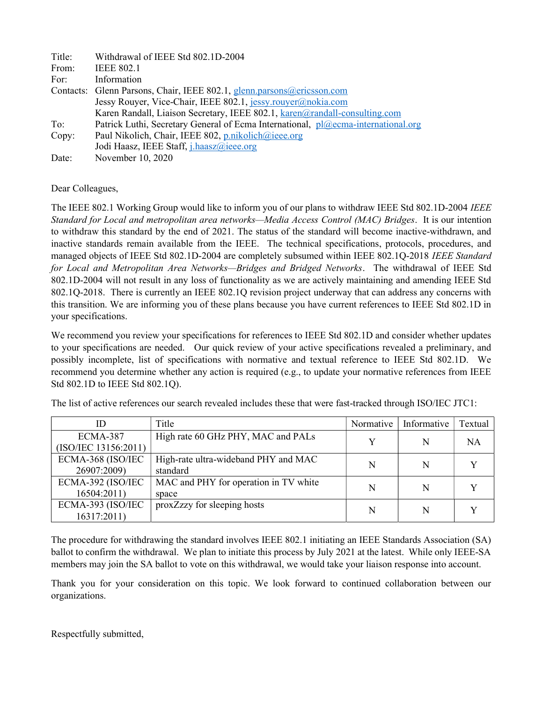| Title: | Withdrawal of IEEE Std 802.1D-2004                                                |  |  |  |
|--------|-----------------------------------------------------------------------------------|--|--|--|
| From:  | <b>IEEE 802.1</b>                                                                 |  |  |  |
| For:   | Information                                                                       |  |  |  |
|        | Contacts: Glenn Parsons, Chair, IEEE 802.1, glenn.parsons@ericsson.com            |  |  |  |
|        | Jessy Rouyer, Vice-Chair, IEEE 802.1, jessy.rouyer@nokia.com                      |  |  |  |
|        | Karen Randall, Liaison Secretary, IEEE 802.1, karen@randall-consulting.com        |  |  |  |
| To:    | Patrick Luthi, Secretary General of Ecma International, pl@ecma-international.org |  |  |  |
| Copy:  | Paul Nikolich, Chair, IEEE 802, p.nikolich@ieee.org                               |  |  |  |
|        | Jodi Haasz, IEEE Staff, j.haasz@ieee.org                                          |  |  |  |
| Date:  | November 10, 2020                                                                 |  |  |  |

## Dear Colleagues,

The IEEE 802.1 Working Group would like to inform you of our plans to withdraw IEEE Std 802.1D-2004 IEEE Standard for Local and metropolitan area networks—Media Access Control (MAC) Bridges. It is our intention to withdraw this standard by the end of 2021. The status of the standard will become inactive-withdrawn, and inactive standards remain available from the IEEE. The technical specifications, protocols, procedures, and managed objects of IEEE Std 802.1D-2004 are completely subsumed within IEEE 802.1Q-2018 IEEE Standard for Local and Metropolitan Area Networks-Bridges and Bridged Networks. The withdrawal of IEEE Std 802.1D-2004 will not result in any loss of functionality as we are actively maintaining and amending IEEE Std 802.1Q-2018. There is currently an IEEE 802.1Q revision project underway that can address any concerns with this transition. We are informing you of these plans because you have current references to IEEE Std 802.1D in your specifications.

We recommend you review your specifications for references to IEEE Std 802.1D and consider whether updates to your specifications are needed. Our quick review of your active specifications revealed a preliminary, and possibly incomplete, list of specifications with normative and textual reference to IEEE Std 802.1D. We recommend you determine whether any action is required (e.g., to update your normative references from IEEE Std 802.1D to IEEE Std 802.1Q).

| ID                   | Title                                 | Normative | Informative | Textual   |
|----------------------|---------------------------------------|-----------|-------------|-----------|
| ECMA-387             | High rate 60 GHz PHY, MAC and PALs    | v         | N           | <b>NA</b> |
| (ISO/IEC 13156:2011) |                                       |           |             |           |
| ECMA-368 (ISO/IEC    | High-rate ultra-wideband PHY and MAC  | N         | N           |           |
| 26907:2009)          | standard                              |           |             |           |
| ECMA-392 (ISO/IEC    | MAC and PHY for operation in TV white | N         | N           |           |
| 16504:2011)          | space                                 |           |             |           |
| ECMA-393 (ISO/IEC    | proxZzzy for sleeping hosts           |           |             |           |
| 16317:2011)          |                                       | N         | N           |           |

The list of active references our search revealed includes these that were fast-tracked through ISO/IEC JTC1:

The procedure for withdrawing the standard involves IEEE 802.1 initiating an IEEE Standards Association (SA) ballot to confirm the withdrawal. We plan to initiate this process by July 2021 at the latest. While only IEEE-SA members may join the SA ballot to vote on this withdrawal, we would take your liaison response into account.

Thank you for your consideration on this topic. We look forward to continued collaboration between our organizations.

Respectfully submitted,